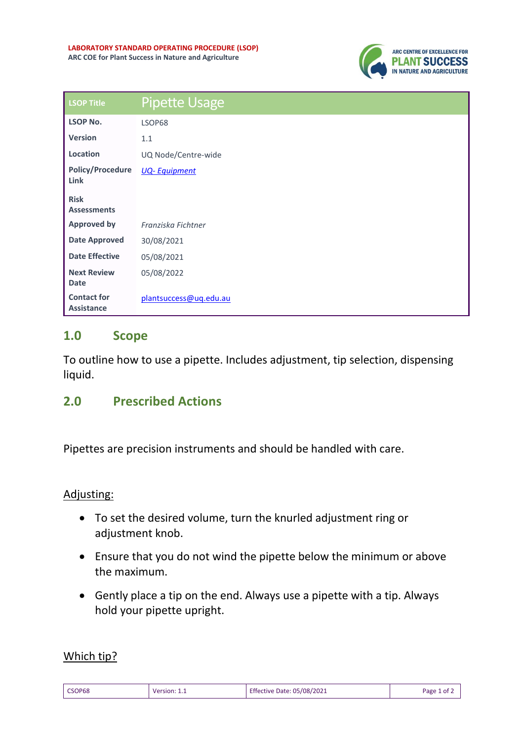

| <b>LSOP Title</b>                       | <b>Pipette Usage</b>   |
|-----------------------------------------|------------------------|
| <b>LSOP No.</b>                         | LSOP68                 |
| <b>Version</b>                          | 1.1                    |
| Location                                | UQ Node/Centre-wide    |
| <b>Policy/Procedure</b><br>Link         | <b>UQ-Equipment</b>    |
| <b>Risk</b><br><b>Assessments</b>       |                        |
| <b>Approved by</b>                      | Franziska Fichtner     |
| <b>Date Approved</b>                    | 30/08/2021             |
| <b>Date Effective</b>                   | 05/08/2021             |
| <b>Next Review</b><br><b>Date</b>       | 05/08/2022             |
| <b>Contact for</b><br><b>Assistance</b> | plantsuccess@ug.edu.au |

# **1.0 Scope**

To outline how to use a pipette. Includes adjustment, tip selection, dispensing liquid.

# **2.0 Prescribed Actions**

Pipettes are precision instruments and should be handled with care.

## Adjusting:

- To set the desired volume, turn the knurled adjustment ring or adjustment knob.
- Ensure that you do not wind the pipette below the minimum or above the maximum.
- Gently place a tip on the end. Always use a pipette with a tip. Always hold your pipette upright.

## Which tip?

| CSOP68 | Version: 1.1 | Effective Date: 05/08/2021 | Page 1 of $\ge$ |
|--------|--------------|----------------------------|-----------------|
|        |              |                            |                 |